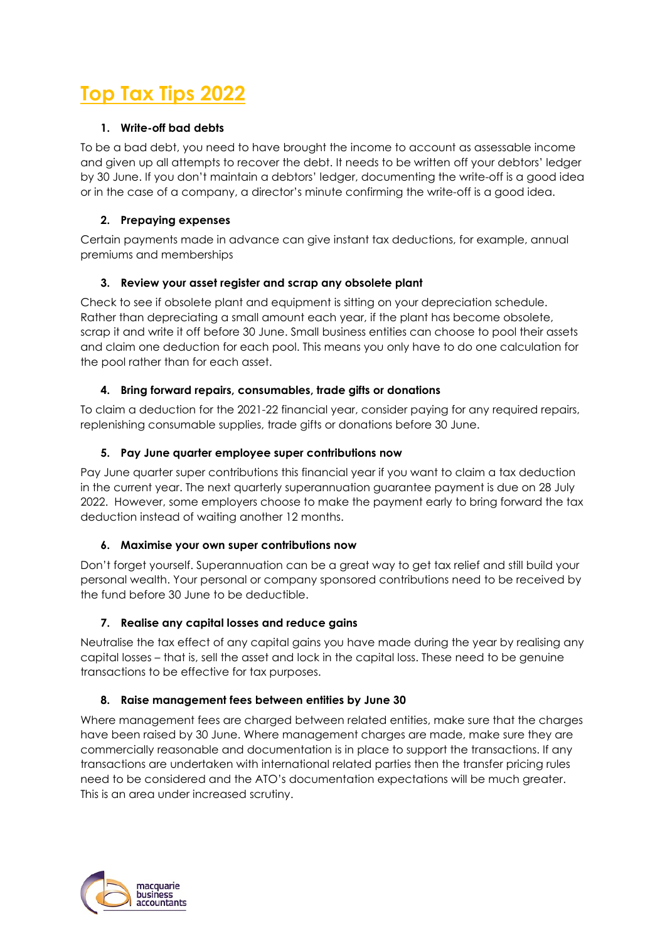# **Top Tax Tips 2022**

# **1. Write-off bad debts**

To be a bad debt, you need to have brought the income to account as assessable income and given up all attempts to recover the debt. It needs to be written off your debtors' ledger by 30 June. If you don't maintain a debtors' ledger, documenting the write-off is a good idea or in the case of a company, a director's minute confirming the write-off is a good idea.

## **2. Prepaying expenses**

Certain payments made in advance can give instant tax deductions, for example, annual premiums and memberships

## **3. Review your asset register and scrap any obsolete plant**

Check to see if obsolete plant and equipment is sitting on your depreciation schedule. Rather than depreciating a small amount each year, if the plant has become obsolete, scrap it and write it off before 30 June. Small business entities can choose to pool their assets and claim one deduction for each pool. This means you only have to do one calculation for the pool rather than for each asset.

## **4. Bring forward repairs, consumables, trade gifts or donations**

To claim a deduction for the 2021-22 financial year, consider paying for any required repairs, replenishing consumable supplies, trade gifts or donations before 30 June.

## **5. Pay June quarter employee super contributions now**

Pay June quarter super contributions this financial year if you want to claim a tax deduction in the current year. The next quarterly superannuation guarantee payment is due on 28 July 2022. However, some employers choose to make the payment early to bring forward the tax deduction instead of waiting another 12 months.

## **6. Maximise your own super contributions now**

Don't forget yourself. Superannuation can be a great way to get tax relief and still build your personal wealth. Your personal or company sponsored contributions need to be received by the fund before 30 June to be deductible.

# **7. Realise any capital losses and reduce gains**

Neutralise the tax effect of any capital gains you have made during the year by realising any capital losses – that is, sell the asset and lock in the capital loss. These need to be genuine transactions to be effective for tax purposes.

## **8. Raise management fees between entities by June 30**

Where management fees are charged between related entities, make sure that the charges have been raised by 30 June. Where management charges are made, make sure they are commercially reasonable and documentation is in place to support the transactions. If any transactions are undertaken with international related parties then the transfer pricing rules need to be considered and the ATO's documentation expectations will be much greater. This is an area under increased scrutiny.